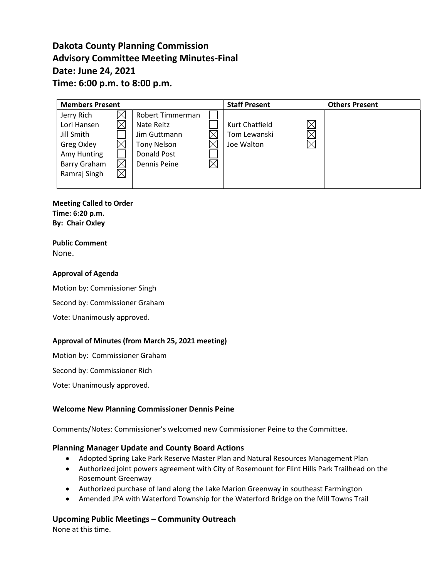# **Dakota County Planning Commission Advisory Committee Meeting Minutes-Final Date: June 24, 2021 Time: 6:00 p.m. to 8:00 p.m.**

| <b>Members Present</b>                                               |  |                                                                                     |  | <b>Staff Present</b>                         | <b>Others Present</b> |
|----------------------------------------------------------------------|--|-------------------------------------------------------------------------------------|--|----------------------------------------------|-----------------------|
| Jerry Rich<br>Lori Hansen<br>Jill Smith<br>Greg Oxley<br>Amy Hunting |  | Robert Timmerman<br>Nate Reitz<br>Jim Guttmann<br><b>Tony Nelson</b><br>Donald Post |  | Kurt Chatfield<br>Tom Lewanski<br>Joe Walton |                       |
| Barry Graham<br>Ramraj Singh                                         |  | Dennis Peine                                                                        |  |                                              |                       |

**Meeting Called to Order Time: 6:20 p.m. By: Chair Oxley**

#### **Public Comment** None.

#### **Approval of Agenda**

Motion by: Commissioner Singh

Second by: Commissioner Graham

Vote: Unanimously approved.

#### **Approval of Minutes (from March 25, 2021 meeting)**

Motion by: Commissioner Graham

Second by: Commissioner Rich

Vote: Unanimously approved.

#### **Welcome New Planning Commissioner Dennis Peine**

Comments/Notes: Commissioner's welcomed new Commissioner Peine to the Committee.

#### **Planning Manager Update and County Board Actions**

- Adopted Spring Lake Park Reserve Master Plan and Natural Resources Management Plan
- Authorized joint powers agreement with City of Rosemount for Flint Hills Park Trailhead on the Rosemount Greenway
- Authorized purchase of land along the Lake Marion Greenway in southeast Farmington
- Amended JPA with Waterford Township for the Waterford Bridge on the Mill Towns Trail

### **Upcoming Public Meetings – Community Outreach**

None at this time.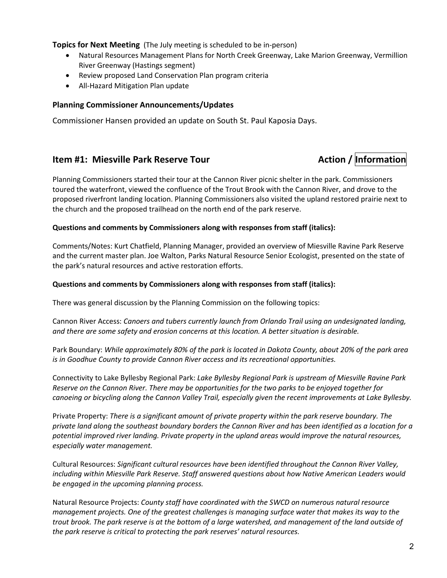**Topics for Next Meeting** (The July meeting is scheduled to be in-person)

- Natural Resources Management Plans for North Creek Greenway, Lake Marion Greenway, Vermillion River Greenway (Hastings segment)
- Review proposed Land Conservation Plan program criteria
- All-Hazard Mitigation Plan update

#### **Planning Commissioner Announcements/Updates**

Commissioner Hansen provided an update on South St. Paul Kaposia Days.

## **Item #1: Miesville Park Reserve Tour Mathems Action / Information**

Planning Commissioners started their tour at the Cannon River picnic shelter in the park. Commissioners toured the waterfront, viewed the confluence of the Trout Brook with the Cannon River, and drove to the proposed riverfront landing location. Planning Commissioners also visited the upland restored prairie next to the church and the proposed trailhead on the north end of the park reserve.

#### **Questions and comments by Commissioners along with responses from staff (italics):**

Comments/Notes: Kurt Chatfield, Planning Manager, provided an overview of Miesville Ravine Park Reserve and the current master plan. Joe Walton, Parks Natural Resource Senior Ecologist, presented on the state of the park's natural resources and active restoration efforts.

#### **Questions and comments by Commissioners along with responses from staff (italics):**

There was general discussion by the Planning Commission on the following topics:

Cannon River Access: *Canoers and tubers currently launch from Orlando Trail using an undesignated landing, and there are some safety and erosion concerns at this location. A better situation is desirable.*

Park Boundary: *While approximately 80% of the park is located in Dakota County, about 20% of the park area is in Goodhue County to provide Cannon River access and its recreational opportunities.*

Connectivity to Lake Byllesby Regional Park: *Lake Byllesby Regional Park is upstream of Miesville Ravine Park Reserve on the Cannon River. There may be opportunities for the two parks to be enjoyed together for canoeing or bicycling along the Cannon Valley Trail, especially given the recent improvements at Lake Byllesby.*

Private Property: *There is a significant amount of private property within the park reserve boundary. The private land along the southeast boundary borders the Cannon River and has been identified as a location for a potential improved river landing. Private property in the upland areas would improve the natural resources, especially water management.*

Cultural Resources: *Significant cultural resources have been identified throughout the Cannon River Valley, including within Miesville Park Reserve. Staff answered questions about how Native American Leaders would be engaged in the upcoming planning process.*

Natural Resource Projects: *County staff have coordinated with the SWCD on numerous natural resource management projects. One of the greatest challenges is managing surface water that makes its way to the trout brook. The park reserve is at the bottom of a large watershed, and management of the land outside of the park reserve is critical to protecting the park reserves' natural resources.*